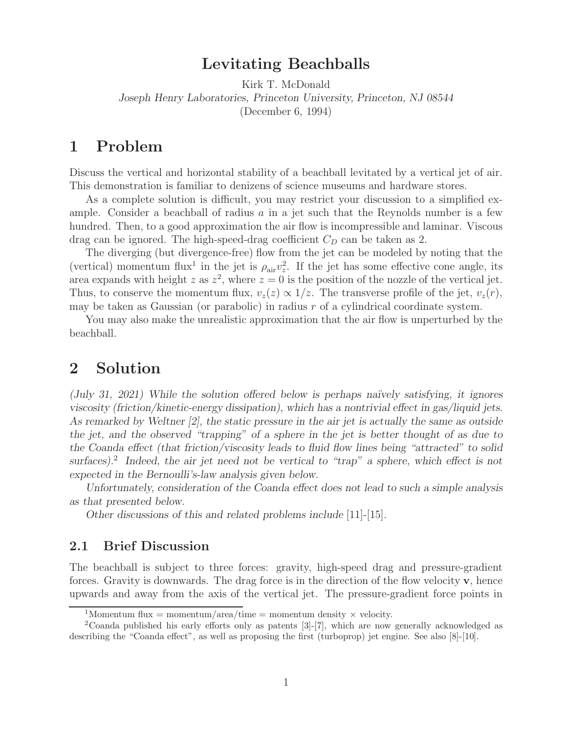# **Levitating Beachballs**

Kirk T. McDonald *Joseph Henry Laboratories, Princeton University, Princeton, NJ 08544* (December 6, 1994)

# **1 Problem**

Discuss the vertical and horizontal stability of a beachball levitated by a vertical jet of air. This demonstration is familiar to denizens of science museums and hardware stores.

As a complete solution is difficult, you may restrict your discussion to a simplified example. Consider a beachball of radius  $a$  in a jet such that the Reynolds number is a few hundred. Then, to a good approximation the air flow is incompressible and laminar. Viscous drag can be ignored. The high-speed-drag coefficient  $C_D$  can be taken as 2.

The diverging (but divergence-free) flow from the jet can be modeled by noting that the (vertical) momentum flux<sup>1</sup> in the jet is  $\rho_{\text{air}}v_z^2$ . If the jet has some effective cone angle, its<br>gree expands with height  $z \propto z^2$  where  $z = 0$  is the position of the pozzle of the vertical ist. area expands with height z as  $z^2$ , where  $z = 0$  is the position of the nozzle of the vertical jet. Thus, to conserve the momentum flux,  $v_z(z) \propto 1/z$ . The transverse profile of the jet,  $v_z(r)$ , may be taken as Gaussian (or parabolic) in radius  $r$  of a cylindrical coordinate system.

You may also make the unrealistic approximation that the air flow is unperturbed by the beachball.

# **2 Solution**

*(July 31, 2021) While the solution offered below is perhaps na¨ıvely satisfying, it ignores viscosity (friction/kinetic-energy dissipation), which has a nontrivial effect in gas/liquid jets. As remarked by Weltner [2], the static pressure in the air jet is actually the same as outside the jet, and the observed "trapping" of a sphere in the jet is better thought of as due to the Coanda effect (that friction/viscosity leads to fluid flow lines being "attracted" to solid surfaces).*<sup>2</sup> *Indeed, the air jet need not be vertical to "trap" a sphere, which effect is not expected in the Bernoulli's-law analysis given below.*

*Unfortunately, consideration of the Coanda effect does not lead to such a simple analysis as that presented below.*

*Other discussions of this and related problems include* [11]-[15].

## **2.1 Brief Discussion**

The beachball is subject to three forces: gravity, high-speed drag and pressure-gradient forces. Gravity is downwards. The drag force is in the direction of the flow velocity **v**, hence upwards and away from the axis of the vertical jet. The pressure-gradient force points in

<sup>&</sup>lt;sup>1</sup>Momentum flux = momentum/area/time = momentum density  $\times$  velocity.

<sup>2</sup>Coanda published his early efforts only as patents [3]-[7], which are now generally acknowledged as describing the "Coanda effect", as well as proposing the first (turboprop) jet engine. See also [8]-[10].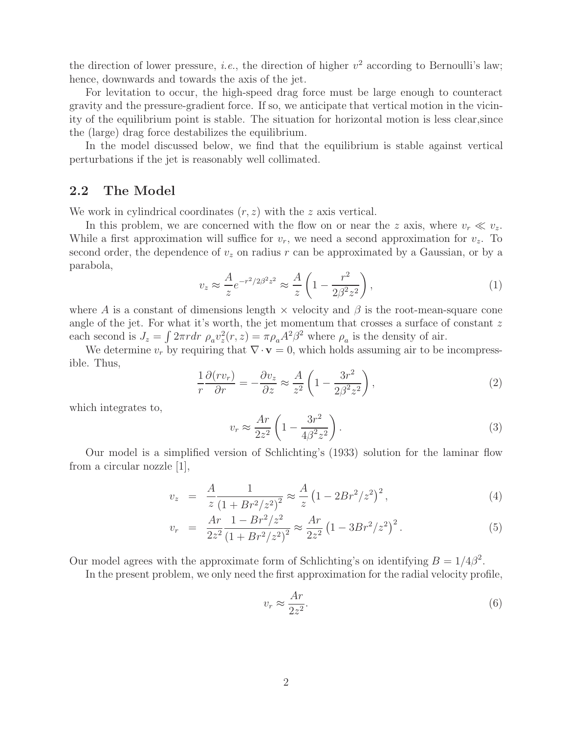the direction of lower pressure, *i.e.*, the direction of higher  $v^2$  according to Bernoulli's law; hence, downwards and towards the axis of the jet.

For levitation to occur, the high-speed drag force must be large enough to counteract gravity and the pressure-gradient force. If so, we anticipate that vertical motion in the vicinity of the equilibrium point is stable. The situation for horizontal motion is less clear,since the (large) drag force destabilizes the equilibrium.

In the model discussed below, we find that the equilibrium is stable against vertical perturbations if the jet is reasonably well collimated.

## **2.2 The Model**

We work in cylindrical coordinates  $(r, z)$  with the z axis vertical.

In this problem, we are concerned with the flow on or near the z axis, where  $v_r \ll v_z$ . While a first approximation will suffice for  $v_r$ , we need a second approximation for  $v_z$ . To second order, the dependence of  $v<sub>z</sub>$  on radius r can be approximated by a Gaussian, or by a parabola,

$$
v_z \approx \frac{A}{z} e^{-r^2/2\beta^2 z^2} \approx \frac{A}{z} \left( 1 - \frac{r^2}{2\beta^2 z^2} \right),
$$
 (1)

where A is a constant of dimensions length  $\times$  velocity and  $\beta$  is the root-mean-square cone angle of the jet. For what it's worth, the jet momentum that crosses a surface of constant  $z$ each second is  $J_z = \int 2\pi r dr \rho_a v_z^2(r, z) = \pi \rho_a A^2 \beta^2$  where  $\rho_a$  is the density of air.<br>We determine us by requiring that  $\nabla_x y = 0$  which holds assuming air to be

We determine  $v_r$  by requiring that  $\nabla \cdot \mathbf{v} = 0$ , which holds assuming air to be incompressible. Thus,

$$
\frac{1}{r}\frac{\partial (rv_r)}{\partial r} = -\frac{\partial v_z}{\partial z} \approx \frac{A}{z^2} \left( 1 - \frac{3r^2}{2\beta^2 z^2} \right),\tag{2}
$$

which integrates to,

$$
v_r \approx \frac{Ar}{2z^2} \left( 1 - \frac{3r^2}{4\beta^2 z^2} \right). \tag{3}
$$

Our model is a simplified version of Schlichting's (1933) solution for the laminar flow from a circular nozzle [1],

$$
v_z = \frac{A}{z} \frac{1}{\left(1 + Br^2/z^2\right)^2} \approx \frac{A}{z} \left(1 - 2Br^2/z^2\right)^2,\tag{4}
$$

$$
v_r = \frac{Ar}{2z^2} \frac{1 - Br^2/z^2}{\left(1 + Br^2/z^2\right)^2} \approx \frac{Ar}{2z^2} \left(1 - 3Br^2/z^2\right)^2. \tag{5}
$$

Our model agrees with the approximate form of Schlichting's on identifying  $B = 1/4\beta^2$ .

In the present problem, we only need the first approximation for the radial velocity profile,

$$
v_r \approx \frac{Ar}{2z^2}.\tag{6}
$$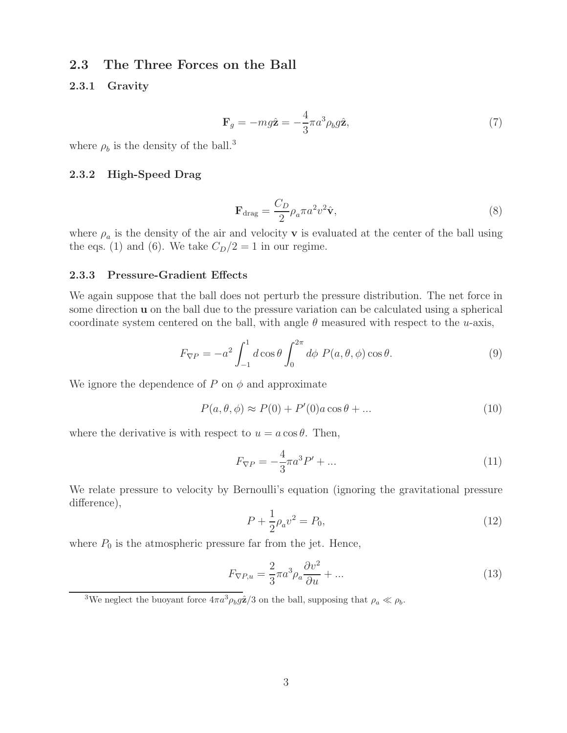## **2.3 The Three Forces on the Ball**

### **2.3.1 Gravity**

$$
\mathbf{F}_g = -mg\hat{\mathbf{z}} = -\frac{4}{3}\pi a^3 \rho_b g\hat{\mathbf{z}},\tag{7}
$$

where  $\rho_b$  is the density of the ball.<sup>3</sup>

#### **2.3.2 High-Speed Drag**

$$
\mathbf{F}_{\text{drag}} = \frac{C_D}{2} \rho_a \pi a^2 v^2 \hat{\mathbf{v}},\tag{8}
$$

where  $\rho_a$  is the density of the air and velocity **v** is evaluated at the center of the ball using the sec (1) and (6). We take  $C_1/2 = 1$  in our regime. the eqs. (1) and (6). We take  $C_D/2 = 1$  in our regime.

#### **2.3.3 Pressure-Gradient Effects**

We again suppose that the ball does not perturb the pressure distribution. The net force in some direction **u** on the ball due to the pressure variation can be calculated using a spherical coordinate system centered on the ball, with angle  $\theta$  measured with respect to the u-axis,

$$
F_{\nabla P} = -a^2 \int_{-1}^1 d\cos\theta \int_0^{2\pi} d\phi \ P(a,\theta,\phi)\cos\theta.
$$
 (9)

We ignore the dependence of P on  $\phi$  and approximate

$$
P(a, \theta, \phi) \approx P(0) + P'(0)a \cos \theta + \dots \tag{10}
$$

where the derivative is with respect to  $u = a \cos \theta$ . Then,

$$
F_{\nabla P} = -\frac{4}{3}\pi a^3 P' + \dots \tag{11}
$$

We relate pressure to velocity by Bernoulli's equation (ignoring the gravitational pressure difference),

$$
P + \frac{1}{2}\rho_a v^2 = P_0,\tag{12}
$$

where  $P_0$  is the atmospheric pressure far from the jet. Hence,

$$
F_{\nabla P, u} = \frac{2}{3}\pi a^3 \rho_a \frac{\partial v^2}{\partial u} + \dots
$$
 (13)

<sup>&</sup>lt;sup>3</sup>We neglect the buoyant force  $4\pi a^3 \rho_b g^2/3$  on the ball, supposing that  $\rho_a \ll \rho_b$ .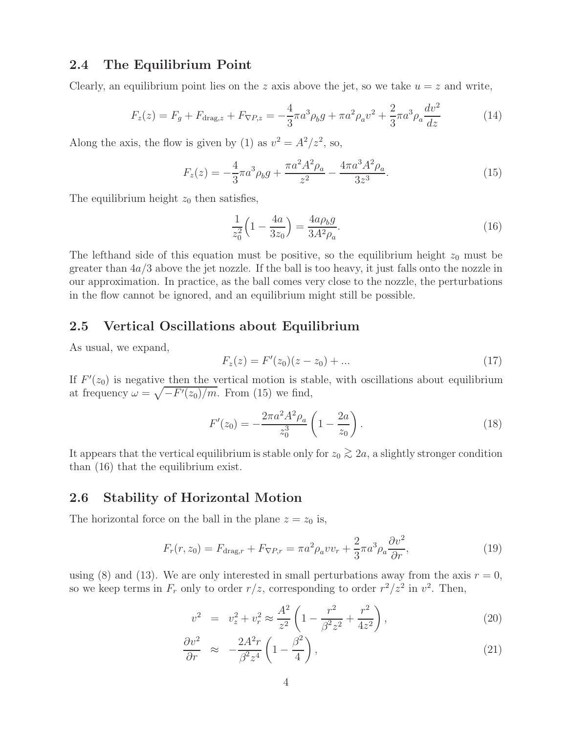## **2.4 The Equilibrium Point**

Clearly, an equilibrium point lies on the z axis above the jet, so we take  $u = z$  and write,

$$
F_z(z) = F_g + F_{\text{drag},z} + F_{\nabla P, z} = -\frac{4}{3}\pi a^3 \rho_b g + \pi a^2 \rho_a v^2 + \frac{2}{3}\pi a^3 \rho_a \frac{dv^2}{dz}
$$
(14)

Along the axis, the flow is given by (1) as  $v^2 = A^2/z^2$ , so,

$$
F_z(z) = -\frac{4}{3}\pi a^3 \rho_b g + \frac{\pi a^2 A^2 \rho_a}{z^2} - \frac{4\pi a^3 A^2 \rho_a}{3z^3}.
$$
 (15)

The equilibrium height  $z_0$  then satisfies,

$$
\frac{1}{z_0^2} \left( 1 - \frac{4a}{3z_0} \right) = \frac{4a\rho_b g}{3A^2 \rho_a}.
$$
\n(16)

The lefthand side of this equation must be positive, so the equilibrium height  $z_0$  must be greater than  $4a/3$  above the jet nozzle. If the ball is too heavy, it just falls onto the nozzle in our approximation. In practice, as the ball comes very close to the nozzle, the perturbations in the flow cannot be ignored, and an equilibrium might still be possible.

## **2.5 Vertical Oscillations about Equilibrium**

As usual, we expand,

$$
F_z(z) = F'(z_0)(z - z_0) + \dots \tag{17}
$$

If  $F'(z_0)$  is negative then the vertical motion is stable, with oscillations about equilibrium at frequency  $\omega = \sqrt{-F'(z_0)/m}$ . From (15) we find,

$$
F'(z_0) = -\frac{2\pi a^2 A^2 \rho_a}{z_0^3} \left(1 - \frac{2a}{z_0}\right). \tag{18}
$$

It appears that the vertical equilibrium is stable only for  $z_0 \gtrsim 2a$ , a slightly stronger condition than (16) that the equilibrium exist.

## **2.6 Stability of Horizontal Motion**

The horizontal force on the ball in the plane  $z = z_0$  is,

$$
F_r(r, z_0) = F_{\text{drag},r} + F_{\nabla P,r} = \pi a^2 \rho_a v v_r + \frac{2}{3} \pi a^3 \rho_a \frac{\partial v^2}{\partial r},\tag{19}
$$

using (8) and (13). We are only interested in small perturbations away from the axis  $r = 0$ , so we keep terms in  $F_r$  only to order  $r/z$ , corresponding to order  $r^2/z^2$  in  $v^2$ . Then,

$$
v^2 = v_z^2 + v_r^2 \approx \frac{A^2}{z^2} \left( 1 - \frac{r^2}{\beta^2 z^2} + \frac{r^2}{4z^2} \right),\tag{20}
$$

$$
\frac{\partial v^2}{\partial r} \approx -\frac{2A^2r}{\beta^2 z^4} \left(1 - \frac{\beta^2}{4}\right),\tag{21}
$$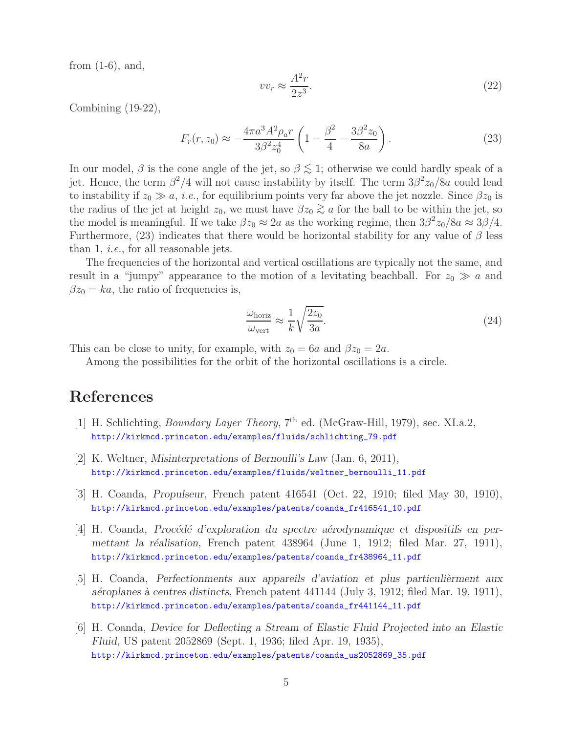from  $(1-6)$ , and,

$$
vv_r \approx \frac{A^2r}{2z^3}.\tag{22}
$$

Combining (19-22),

$$
F_r(r, z_0) \approx -\frac{4\pi a^3 A^2 \rho_a r}{3\beta^2 z_0^4} \left(1 - \frac{\beta^2}{4} - \frac{3\beta^2 z_0}{8a}\right). \tag{23}
$$

In our model,  $\beta$  is the cone angle of the jet, so  $\beta \lesssim 1$ ; otherwise we could hardly speak of a<br>intellectually speak of a speak of a speak of the speak of the speak of the speak of the speak of a speak of the speak o jet. Hence, the term  $\beta^2/4$  will not cause instability by itself. The term  $3\beta^2z_0/8a$  could lead to instability if  $z_0 \gg a$ , *i.e.*, for equilibrium points very far above the jet nozzle. Since  $\beta z_0$  is the radius of the jet at height  $z_0$ , we must have  $\beta z_0 \gtrsim a$  for the ball to be within the jet, so the model is meaningful. If we take  $\beta z_0 \approx 2a$  as the working regime, then  $3\beta^2 z_0/8a \approx 3\beta/4$ . Furthermore, (23) indicates that there would be horizontal stability for any value of  $\beta$  less than 1, *i.e.*, for all reasonable jets.

The frequencies of the horizontal and vertical oscillations are typically not the same, and result in a "jumpy" appearance to the motion of a levitating beachball. For  $z_0 \gg a$  and  $\beta z_0 = ka$ , the ratio of frequencies is,

$$
\frac{\omega_{\text{horiz}}}{\omega_{\text{vert}}} \approx \frac{1}{k} \sqrt{\frac{2z_0}{3a}}.\tag{24}
$$

This can be close to unity, for example, with  $z_0 = 6a$  and  $\beta z_0 = 2a$ .

Among the possibilities for the orbit of the horizontal oscillations is a circle.

# **References**

- [1] H. Schlichting, *Boundary Layer Theory*, 7th ed. (McGraw-Hill, 1979), sec. XI.a.2, http://kirkmcd.princeton.edu/examples/fluids/schlichting\_79.pdf
- [2] K. Weltner, *Misinterpretations of Bernoulli's Law* (Jan. 6, 2011), http://kirkmcd.princeton.edu/examples/fluids/weltner\_bernoulli\_11.pdf
- [3] H. Coanda, *Propulseur*, French patent 416541 (Oct. 22, 1910; filed May 30, 1910), http://kirkmcd.princeton.edu/examples/patents/coanda\_fr416541\_10.pdf
- [4] H. Coanda, *Proc´ed´e d'exploration du spectre a´erodynamique et dispositifs en permettant la r´ealisation*, French patent 438964 (June 1, 1912; filed Mar. 27, 1911), http://kirkmcd.princeton.edu/examples/patents/coanda\_fr438964\_11.pdf
- [5] H. Coanda, *Perfectionments aux appareils d'aviation et plus particulièrment aux a´eroplanes `a centres distincts*, French patent 441144 (July 3, 1912; filed Mar. 19, 1911), http://kirkmcd.princeton.edu/examples/patents/coanda\_fr441144\_11.pdf
- [6] H. Coanda, *Device for Deflecting a Stream of Elastic Fluid Projected into an Elastic Fluid*, US patent 2052869 (Sept. 1, 1936; filed Apr. 19, 1935), http://kirkmcd.princeton.edu/examples/patents/coanda\_us2052869\_35.pdf